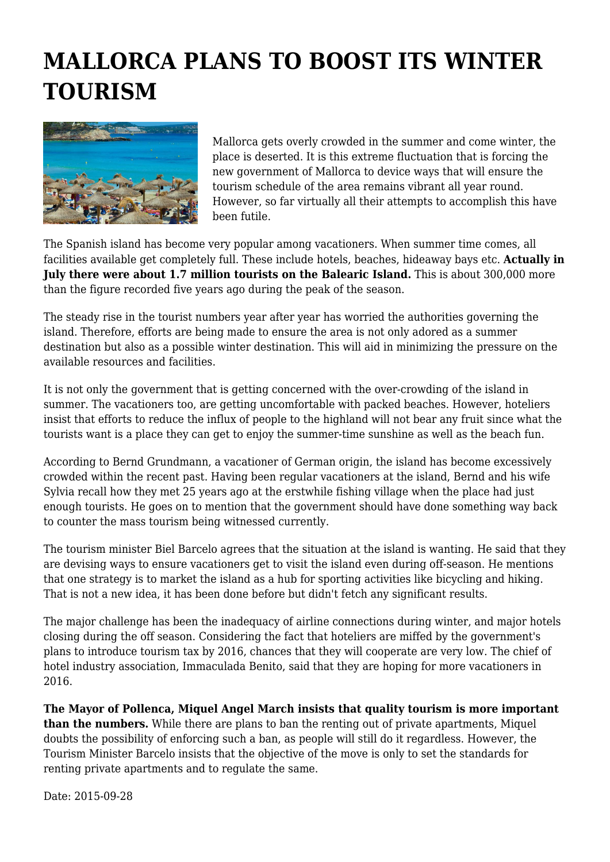## **MALLORCA PLANS TO BOOST ITS WINTER TOURISM**



Mallorca gets overly crowded in the summer and come winter, the place is deserted. It is this extreme fluctuation that is forcing the new government of Mallorca to device ways that will ensure the tourism schedule of the area remains vibrant all year round. However, so far virtually all their attempts to accomplish this have been futile.

The Spanish island has become very popular among vacationers. When summer time comes, all facilities available get completely full. These include hotels, beaches, hideaway bays etc. **Actually in July there were about 1.7 million tourists on the Balearic Island.** This is about 300,000 more than the figure recorded five years ago during the peak of the season.

The steady rise in the tourist numbers year after year has worried the authorities governing the island. Therefore, efforts are being made to ensure the area is not only adored as a summer destination but also as a possible winter destination. This will aid in minimizing the pressure on the available resources and facilities.

It is not only the government that is getting concerned with the over-crowding of the island in summer. The vacationers too, are getting uncomfortable with packed beaches. However, hoteliers insist that efforts to reduce the influx of people to the highland will not bear any fruit since what the tourists want is a place they can get to enjoy the summer-time sunshine as well as the beach fun.

According to Bernd Grundmann, a vacationer of German origin, the island has become excessively crowded within the recent past. Having been regular vacationers at the island, Bernd and his wife Sylvia recall how they met 25 years ago at the erstwhile fishing village when the place had just enough tourists. He goes on to mention that the government should have done something way back to counter the mass tourism being witnessed currently.

The tourism minister Biel Barcelo agrees that the situation at the island is wanting. He said that they are devising ways to ensure vacationers get to visit the island even during off-season. He mentions that one strategy is to market the island as a hub for sporting activities like bicycling and hiking. That is not a new idea, it has been done before but didn't fetch any significant results.

The major challenge has been the inadequacy of airline connections during winter, and major hotels closing during the off season. Considering the fact that hoteliers are miffed by the government's plans to introduce tourism tax by 2016, chances that they will cooperate are very low. The chief of hotel industry association, Immaculada Benito, said that they are hoping for more vacationers in 2016.

**The Mayor of Pollenca, Miquel Angel March insists that quality tourism is more important than the numbers.** While there are plans to ban the renting out of private apartments, Miquel doubts the possibility of enforcing such a ban, as people will still do it regardless. However, the Tourism Minister Barcelo insists that the objective of the move is only to set the standards for renting private apartments and to regulate the same.

Date: 2015-09-28